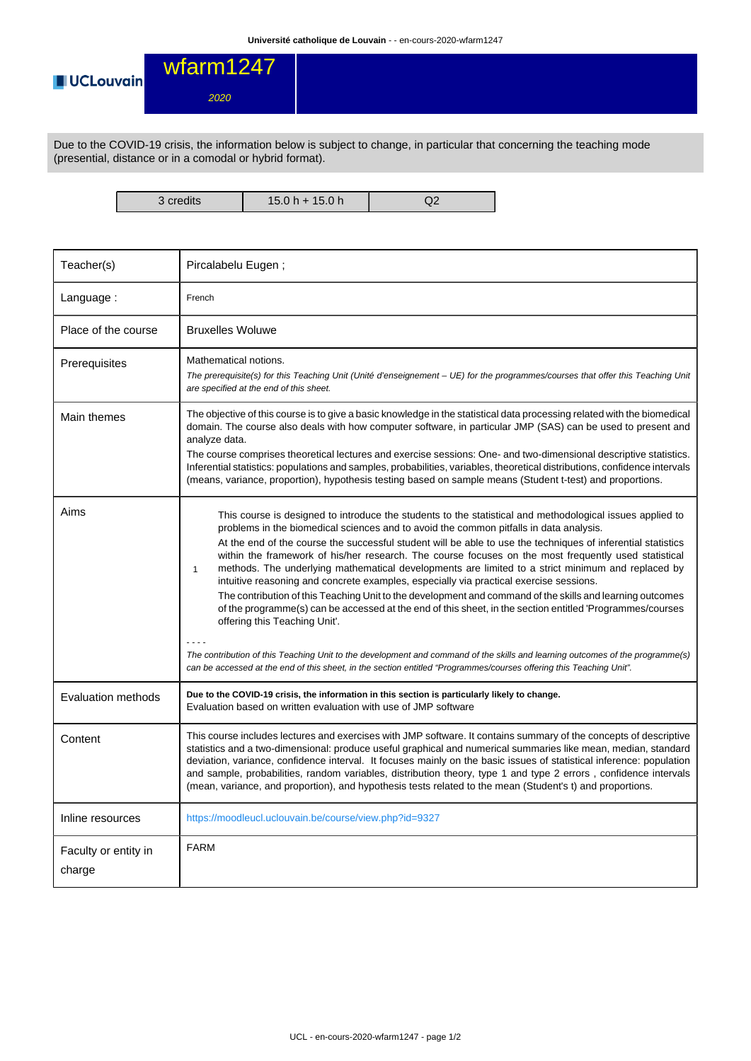

2020

Due to the COVID-19 crisis, the information below is subject to change, in particular that concerning the teaching mode (presential, distance or in a comodal or hybrid format).

3 credits 15.0 h + 15.0 h Q2

| Teacher(s)                     | Pircalabelu Eugen;                                                                                                                                                                                                                                                                                                                                                                                                                                                                                                                                                                                                                                                                                                                                                                                                                                                                                                                                                                                                                                                                                                                                            |
|--------------------------------|---------------------------------------------------------------------------------------------------------------------------------------------------------------------------------------------------------------------------------------------------------------------------------------------------------------------------------------------------------------------------------------------------------------------------------------------------------------------------------------------------------------------------------------------------------------------------------------------------------------------------------------------------------------------------------------------------------------------------------------------------------------------------------------------------------------------------------------------------------------------------------------------------------------------------------------------------------------------------------------------------------------------------------------------------------------------------------------------------------------------------------------------------------------|
| Language:                      | French                                                                                                                                                                                                                                                                                                                                                                                                                                                                                                                                                                                                                                                                                                                                                                                                                                                                                                                                                                                                                                                                                                                                                        |
| Place of the course            | <b>Bruxelles Woluwe</b>                                                                                                                                                                                                                                                                                                                                                                                                                                                                                                                                                                                                                                                                                                                                                                                                                                                                                                                                                                                                                                                                                                                                       |
| Prerequisites                  | Mathematical notions.<br>The prerequisite(s) for this Teaching Unit (Unité d'enseignement – UE) for the programmes/courses that offer this Teaching Unit<br>are specified at the end of this sheet.                                                                                                                                                                                                                                                                                                                                                                                                                                                                                                                                                                                                                                                                                                                                                                                                                                                                                                                                                           |
| Main themes                    | The objective of this course is to give a basic knowledge in the statistical data processing related with the biomedical<br>domain. The course also deals with how computer software, in particular JMP (SAS) can be used to present and<br>analyze data.<br>The course comprises theoretical lectures and exercise sessions: One- and two-dimensional descriptive statistics.<br>Inferential statistics: populations and samples, probabilities, variables, theoretical distributions, confidence intervals<br>(means, variance, proportion), hypothesis testing based on sample means (Student t-test) and proportions.                                                                                                                                                                                                                                                                                                                                                                                                                                                                                                                                     |
| Aims                           | This course is designed to introduce the students to the statistical and methodological issues applied to<br>problems in the biomedical sciences and to avoid the common pitfalls in data analysis.<br>At the end of the course the successful student will be able to use the techniques of inferential statistics<br>within the framework of his/her research. The course focuses on the most frequently used statistical<br>methods. The underlying mathematical developments are limited to a strict minimum and replaced by<br>$\mathbf{1}$<br>intuitive reasoning and concrete examples, especially via practical exercise sessions.<br>The contribution of this Teaching Unit to the development and command of the skills and learning outcomes<br>of the programme(s) can be accessed at the end of this sheet, in the section entitled 'Programmes/courses<br>offering this Teaching Unit'.<br>The contribution of this Teaching Unit to the development and command of the skills and learning outcomes of the programme(s)<br>can be accessed at the end of this sheet, in the section entitled "Programmes/courses offering this Teaching Unit". |
| Evaluation methods             | Due to the COVID-19 crisis, the information in this section is particularly likely to change.<br>Evaluation based on written evaluation with use of JMP software                                                                                                                                                                                                                                                                                                                                                                                                                                                                                                                                                                                                                                                                                                                                                                                                                                                                                                                                                                                              |
| Content                        | This course includes lectures and exercises with JMP software. It contains summary of the concepts of descriptive<br>statistics and a two-dimensional: produce useful graphical and numerical summaries like mean, median, standard<br>deviation, variance, confidence interval. It focuses mainly on the basic issues of statistical inference: population<br>and sample, probabilities, random variables, distribution theory, type 1 and type 2 errors, confidence intervals<br>(mean, variance, and proportion), and hypothesis tests related to the mean (Student's t) and proportions.                                                                                                                                                                                                                                                                                                                                                                                                                                                                                                                                                                  |
| Inline resources               | https://moodleucl.uclouvain.be/course/view.php?id=9327                                                                                                                                                                                                                                                                                                                                                                                                                                                                                                                                                                                                                                                                                                                                                                                                                                                                                                                                                                                                                                                                                                        |
| Faculty or entity in<br>charge | <b>FARM</b>                                                                                                                                                                                                                                                                                                                                                                                                                                                                                                                                                                                                                                                                                                                                                                                                                                                                                                                                                                                                                                                                                                                                                   |